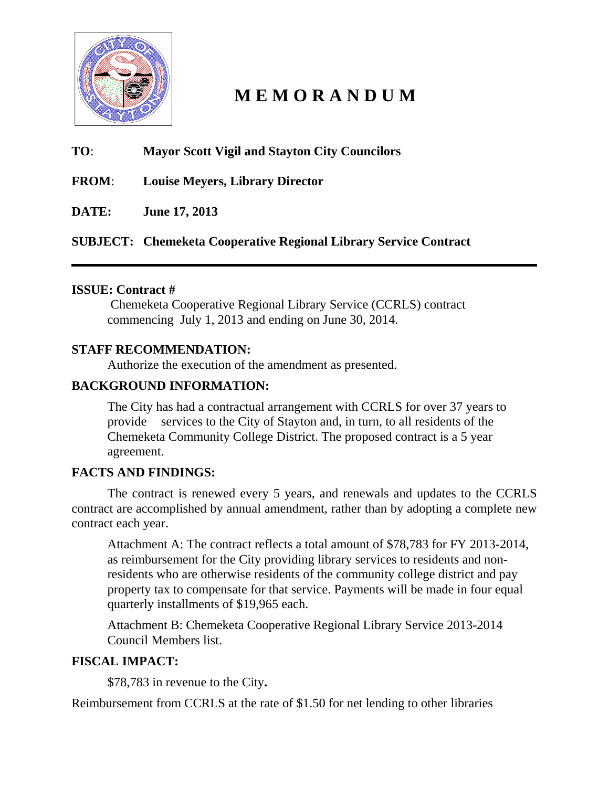

# **M E M O R A N D U M**

# **TO**: **Mayor Scott Vigil and Stayton City Councilors**

**FROM**: **Louise Meyers, Library Director** 

**DATE: June 17, 2013** 

**SUBJECT: Chemeketa Cooperative Regional Library Service Contract** 

# **ISSUE: Contract #**

 Chemeketa Cooperative Regional Library Service (CCRLS) contract commencing July 1, 2013 and ending on June 30, 2014.

# **STAFF RECOMMENDATION:**

Authorize the execution of the amendment as presented.

# **BACKGROUND INFORMATION:**

The City has had a contractual arrangement with CCRLS for over 37 years to provide services to the City of Stayton and, in turn, to all residents of the Chemeketa Community College District. The proposed contract is a 5 year agreement.

# **FACTS AND FINDINGS:**

The contract is renewed every 5 years, and renewals and updates to the CCRLS contract are accomplished by annual amendment, rather than by adopting a complete new contract each year.

Attachment A: The contract reflects a total amount of \$78,783 for FY 2013-2014, as reimbursement for the City providing library services to residents and nonresidents who are otherwise residents of the community college district and pay property tax to compensate for that service. Payments will be made in four equal quarterly installments of \$19,965 each.

Attachment B: Chemeketa Cooperative Regional Library Service 2013-2014 Council Members list.

# **FISCAL IMPACT:**

\$78,783 in revenue to the City**.** 

Reimbursement from CCRLS at the rate of \$1.50 for net lending to other libraries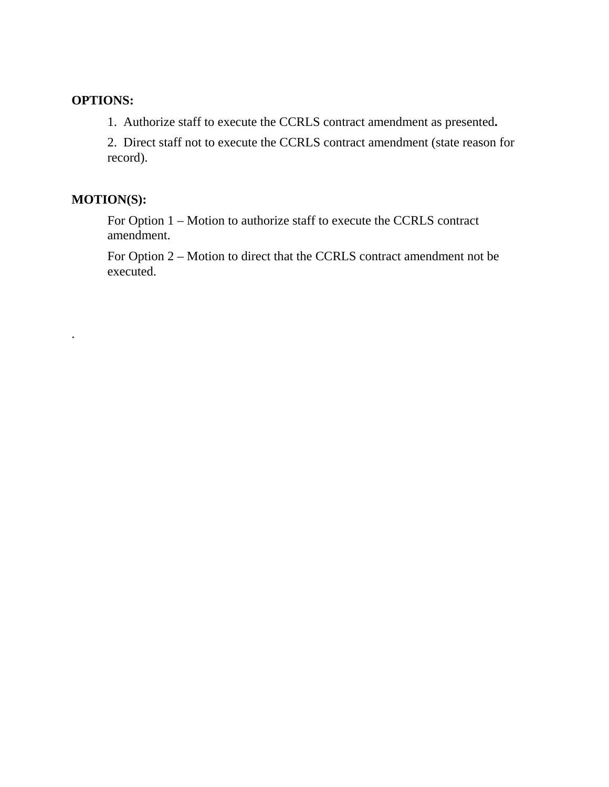# **OPTIONS:**

1. Authorize staff to execute the CCRLS contract amendment as presented**.** 

2. Direct staff not to execute the CCRLS contract amendment (state reason for record).

# **MOTION(S):**

.

For Option 1 – Motion to authorize staff to execute the CCRLS contract amendment.

For Option 2 – Motion to direct that the CCRLS contract amendment not be executed.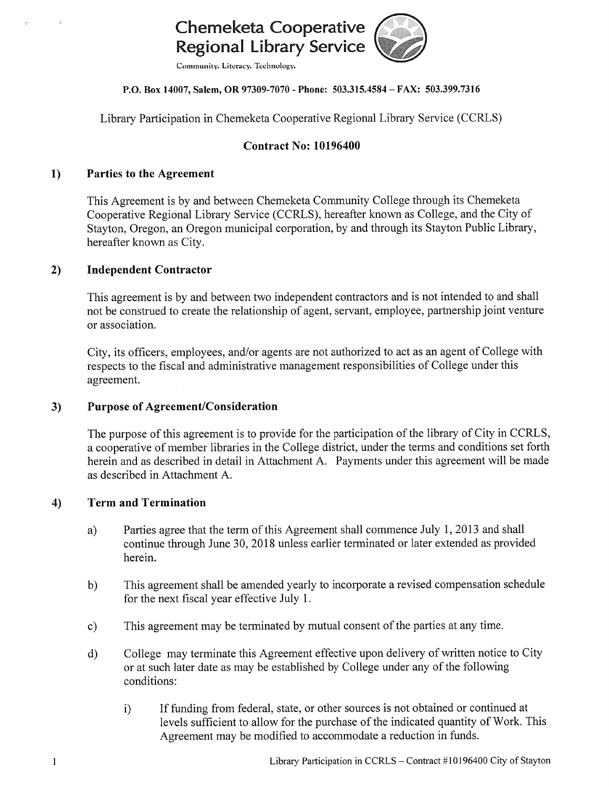# **Chemeketa Cooperative** Regional Library Service

Community. Literacy. Technology.

### P.O. Box 14007, Salem, OR 97309-7070 - Phone: 503.315.4584 - FAX: 503.399.7316

Library Participation in Chemeketa Cooperative Regional Library Service (CCRLS)

# **Contract No: 10196400**

#### $1)$ **Parties to the Agreement**

This Agreement is by and between Chemeketa Community College through its Chemeketa Cooperative Regional Library Service (CCRLS), hereafter known as College, and the City of Stayton, Oregon, an Oregon municipal corporation, by and through its Stayton Public Library, hereafter known as City.

#### $2)$ **Independent Contractor**

This agreement is by and between two independent contractors and is not intended to and shall not be construed to create the relationship of agent, servant, employee, partnership joint venture or association.

City, its officers, employees, and/or agents are not authorized to act as an agent of College with respects to the fiscal and administrative management responsibilities of College under this agreement.

#### **Purpose of Agreement/Consideration**  $3)$

The purpose of this agreement is to provide for the participation of the library of City in CCRLS, a cooperative of member libraries in the College district, under the terms and conditions set forth herein and as described in detail in Attachment A. Payments under this agreement will be made as described in Attachment A.

#### **Term and Termination** 4)

- Parties agree that the term of this Agreement shall commence July 1, 2013 and shall a) continue through June 30, 2018 unless earlier terminated or later extended as provided herein.
- This agreement shall be amended yearly to incorporate a revised compensation schedule  $b)$ for the next fiscal year effective July 1.
- This agreement may be terminated by mutual consent of the parties at any time.  $c)$
- College may terminate this Agreement effective upon delivery of written notice to City  $\rm d$ or at such later date as may be established by College under any of the following conditions:
	- If funding from federal, state, or other sources is not obtained or continued at  $i)$ levels sufficient to allow for the purchase of the indicated quantity of Work. This Agreement may be modified to accommodate a reduction in funds.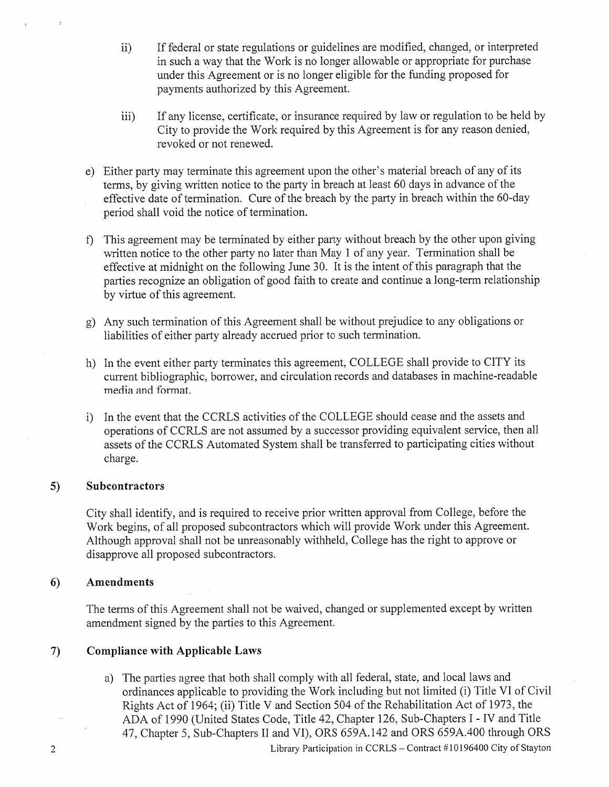- If federal or state regulations or guidelines are modified, changed, or interpreted  $\mathbf{ii}$ in such a way that the Work is no longer allowable or appropriate for purchase under this Agreement or is no longer eligible for the funding proposed for payments authorized by this Agreement.
- $iii)$ If any license, certificate, or insurance required by law or regulation to be held by City to provide the Work required by this Agreement is for any reason denied, revoked or not renewed.
- e) Either party may terminate this agreement upon the other's material breach of any of its terms, by giving written notice to the party in breach at least 60 days in advance of the effective date of termination. Cure of the breach by the party in breach within the 60-day period shall void the notice of termination.
- f) This agreement may be terminated by either party without breach by the other upon giving written notice to the other party no later than May 1 of any year. Termination shall be effective at midnight on the following June 30. It is the intent of this paragraph that the parties recognize an obligation of good faith to create and continue a long-term relationship by virtue of this agreement.
- g) Any such termination of this Agreement shall be without prejudice to any obligations or liabilities of either party already accrued prior to such termination.
- h) In the event either party terminates this agreement, COLLEGE shall provide to CITY its current bibliographic, borrower, and circulation records and databases in machine-readable media and format.
- i) In the event that the CCRLS activities of the COLLEGE should cease and the assets and operations of CCRLS are not assumed by a successor providing equivalent service, then all assets of the CCRLS Automated System shall be transferred to participating cities without charge.

#### **Subcontractors**  $5)$

City shall identify, and is required to receive prior written approval from College, before the Work begins, of all proposed subcontractors which will provide Work under this Agreement. Although approval shall not be unreasonably withheld, College has the right to approve or disapprove all proposed subcontractors.

#### **Amendments** 6)

The terms of this Agreement shall not be waived, changed or supplemented except by written amendment signed by the parties to this Agreement.

#### **Compliance with Applicable Laws**  $\mathcal{L}$

a) The parties agree that both shall comply with all federal, state, and local laws and ordinances applicable to providing the Work including but not limited (i) Title VI of Civil Rights Act of 1964; (ii) Title V and Section 504 of the Rehabilitation Act of 1973, the ADA of 1990 (United States Code, Title 42, Chapter 126, Sub-Chapters I - IV and Title 47, Chapter 5, Sub-Chapters II and VI), ORS 659A.142 and ORS 659A.400 through ORS Library Participation in CCRLS - Contract #10196400 City of Stayton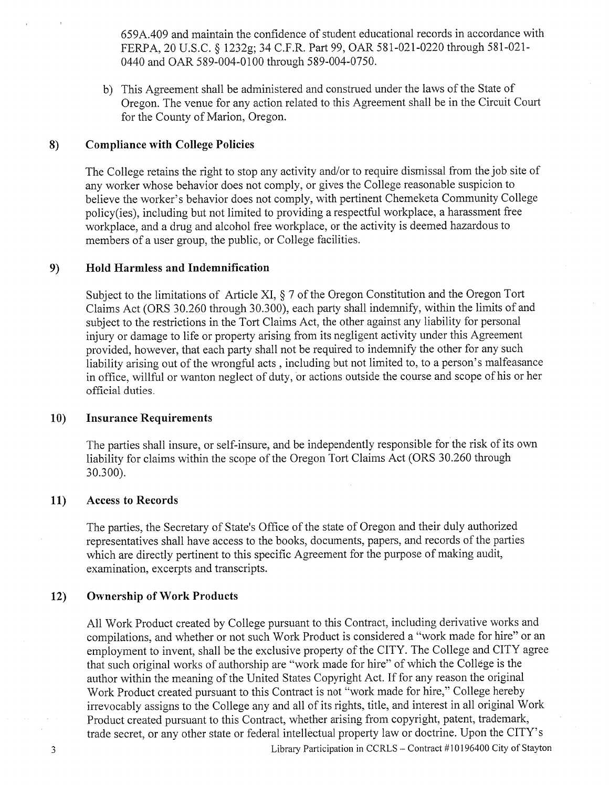659A.409 and maintain the confidence of student educational records in accordance with FERPA, 20 U.S.C. § 1232g; 34 C.F.R. Part 99, OAR 581-021-0220 through 581-021-0440 and OAR 589-004-0100 through 589-004-0750.

b) This Agreement shall be administered and construed under the laws of the State of Oregon. The venue for any action related to this Agreement shall be in the Circuit Court for the County of Marion, Oregon.

#### **Compliance with College Policies** 8)

The College retains the right to stop any activity and/or to require dismissal from the job site of any worker whose behavior does not comply, or gives the College reasonable suspicion to believe the worker's behavior does not comply, with pertinent Chemeketa Community College policy(ies), including but not limited to providing a respectful workplace, a harassment free workplace, and a drug and alcohol free workplace, or the activity is deemed hazardous to members of a user group, the public, or College facilities.

#### **Hold Harmless and Indemnification** 9)

Subject to the limitations of Article XI, § 7 of the Oregon Constitution and the Oregon Tort Claims Act (ORS 30.260 through 30.300), each party shall indemnify, within the limits of and subject to the restrictions in the Tort Claims Act, the other against any liability for personal injury or damage to life or property arising from its negligent activity under this Agreement provided, however, that each party shall not be required to indemnify the other for any such liability arising out of the wrongful acts, including but not limited to, to a person's malfeasance in office, will ful or wanton neglect of duty, or actions outside the course and scope of his or her official duties.

#### $10)$ **Insurance Requirements**

The parties shall insure, or self-insure, and be independently responsible for the risk of its own liability for claims within the scope of the Oregon Tort Claims Act (ORS 30.260 through 30.300).

#### $11)$ **Access to Records**

The parties, the Secretary of State's Office of the state of Oregon and their duly authorized representatives shall have access to the books, documents, papers, and records of the parties which are directly pertinent to this specific Agreement for the purpose of making audit, examination, excerpts and transcripts.

#### $12)$ **Ownership of Work Products**

All Work Product created by College pursuant to this Contract, including derivative works and compilations, and whether or not such Work Product is considered a "work made for hire" or an employment to invent, shall be the exclusive property of the CITY. The College and CITY agree that such original works of authorship are "work made for hire" of which the College is the author within the meaning of the United States Copyright Act. If for any reason the original Work Product created pursuant to this Contract is not "work made for hire," College hereby irrevocably assigns to the College any and all of its rights, title, and interest in all original Work Product created pursuant to this Contract, whether arising from copyright, patent, trademark, trade secret, or any other state or federal intellectual property law or doctrine. Upon the CITY's Library Participation in CCRLS - Contract #10196400 City of Stayton

 $\mathfrak{Z}$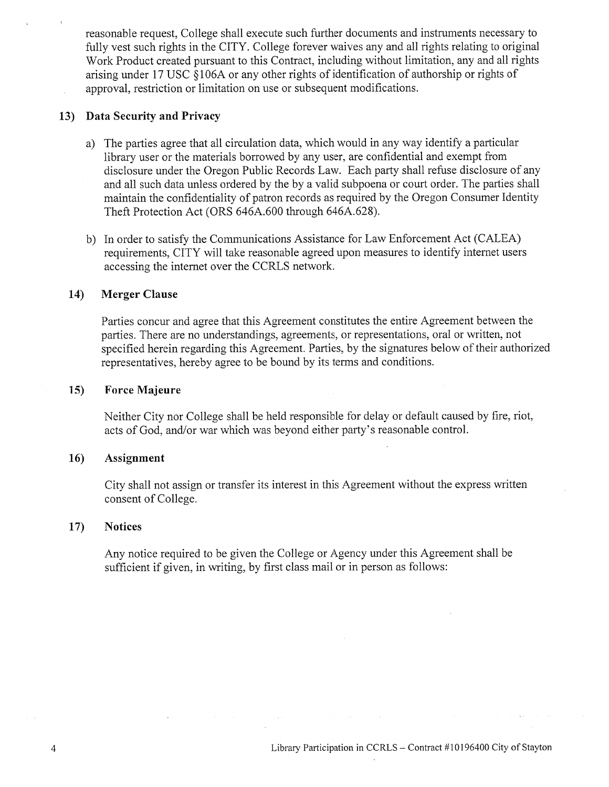reasonable request, College shall execute such further documents and instruments necessary to fully vest such rights in the CITY. College forever waives any and all rights relating to original Work Product created pursuant to this Contract, including without limitation, any and all rights arising under 17 USC §106A or any other rights of identification of authorship or rights of approval, restriction or limitation on use or subsequent modifications.

## 13) Data Security and Privacy

- a) The parties agree that all circulation data, which would in any way identify a particular library user or the materials borrowed by any user, are confidential and exempt from disclosure under the Oregon Public Records Law. Each party shall refuse disclosure of any and all such data unless ordered by the by a valid subpoena or court order. The parties shall maintain the confidentiality of patron records as required by the Oregon Consumer Identity Theft Protection Act (ORS 646A.600 through 646A.628).
- b) In order to satisfy the Communications Assistance for Law Enforcement Act (CALEA) requirements, CITY will take reasonable agreed upon measures to identify internet users accessing the internet over the CCRLS network.

#### $14)$ **Merger Clause**

Parties concur and agree that this Agreement constitutes the entire Agreement between the parties. There are no understandings, agreements, or representations, oral or written, not specified herein regarding this Agreement. Parties, by the signatures below of their authorized representatives, hereby agree to be bound by its terms and conditions.

#### $15)$ **Force Majeure**

Neither City nor College shall be held responsible for delay or default caused by fire, riot, acts of God, and/or war which was beyond either party's reasonable control.

#### 16) Assignment

City shall not assign or transfer its interest in this Agreement without the express written consent of College.

#### $17)$ **Notices**

Any notice required to be given the College or Agency under this Agreement shall be sufficient if given, in writing, by first class mail or in person as follows: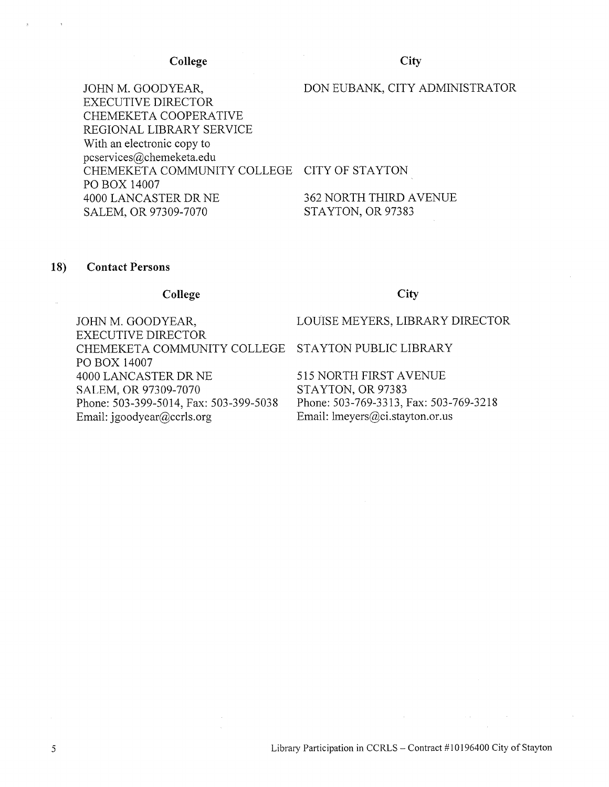### College

City

JOHN M. GOODYEAR, **EXECUTIVE DIRECTOR** CHEMEKETA COOPERATIVE REGIONAL LIBRARY SERVICE With an electronic copy to pcservices@chemeketa.edu CHEMEKETA COMMUNITY COLLEGE CITY OF STAYTON PO BOX 14007 4000 LANCASTER DR NE SALEM, OR 97309-7070

# DON EUBANK, CITY ADMINISTRATOR

362 NORTH THIRD AVENUE STAYTON, OR 97383

#### 18) **Contact Persons**

### College

JOHN M. GOODYEAR, **EXECUTIVE DIRECTOR** CHEMEKETA COMMUNITY COLLEGE STAYTON PUBLIC LIBRARY PO BOX 14007 4000 LANCASTER DR NE SALEM, OR 97309-7070 Phone: 503-399-5014, Fax: 503-399-5038 Email: jgoodyear@ccrls.org

### City

LOUISE MEYERS, LIBRARY DIRECTOR

515 NORTH FIRST AVENUE STAYTON, OR 97383 Phone: 503-769-3313, Fax: 503-769-3218 Email: lmeyers@ci.stayton.or.us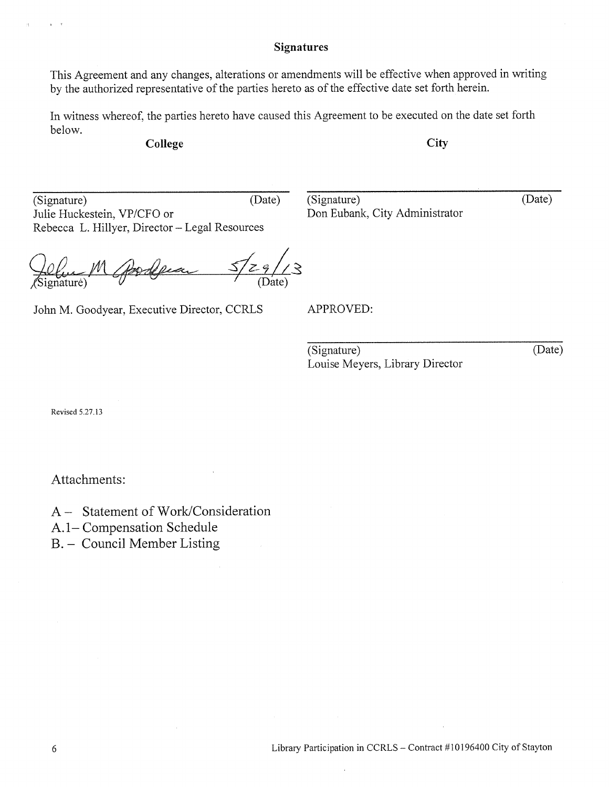## **Signatures**

This Agreement and any changes, alterations or amendments will be effective when approved in writing by the authorized representative of the parties hereto as of the effective date set forth herein.

In witness whereof, the parties hereto have caused this Agreement to be executed on the date set forth below.

College

City

(Signature) (Date) Julie Huckestein, VP/CFO or Rebecca L. Hillyer, Director - Legal Resources

(Signature) Don Eubank, City Administrator (Date)

 $\frac{\sqrt{291}}{200}$ ⁄<br>∠3

John M. Goodyear, Executive Director, CCRLS

APPROVED:

(Signature) Louise Meyers, Library Director (Date)

Revised 5.27.13

Attachments:

A – Statement of Work/Consideration

A.1-Compensation Schedule

B. - Council Member Listing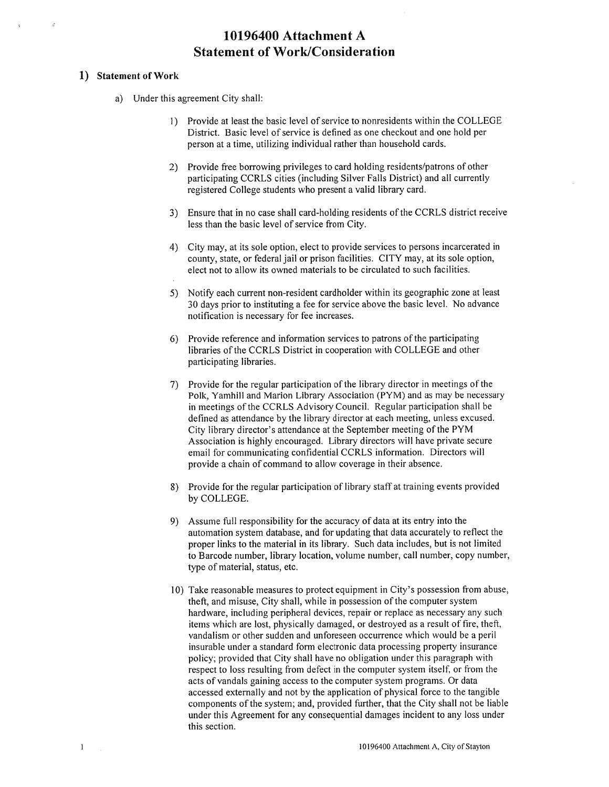# 10196400 Attachment A **Statement of Work/Consideration**

### 1) Statement of Work

- a) Under this agreement City shall:
	- 1) Provide at least the basic level of service to nonresidents within the COLLEGE District. Basic level of service is defined as one checkout and one hold per person at a time, utilizing individual rather than household cards.
	- 2) Provide free borrowing privileges to card holding residents/patrons of other participating CCRLS cities (including Silver Falls District) and all currently registered College students who present a valid library card.
	- 3) Ensure that in no case shall card-holding residents of the CCRLS district receive less than the basic level of service from City.
	- 4) City may, at its sole option, elect to provide services to persons incarcerated in county, state, or federal jail or prison facilities. CITY may, at its sole option, elect not to allow its owned materials to be circulated to such facilities.
	- 5) Notify each current non-resident cardholder within its geographic zone at least 30 days prior to instituting a fee for service above the basic level. No advance notification is necessary for fee increases.
	- 6) Provide reference and information services to patrons of the participating libraries of the CCRLS District in cooperation with COLLEGE and other participating libraries.
	- 7) Provide for the regular participation of the library director in meetings of the Polk, Yamhill and Marion Library Association (PYM) and as may be necessary in meetings of the CCRLS Advisory Council. Regular participation shall be defined as attendance by the library director at each meeting, unless excused. City library director's attendance at the September meeting of the PYM Association is highly encouraged. Library directors will have private secure email for communicating confidential CCRLS information. Directors will provide a chain of command to allow coverage in their absence.
	- 8) Provide for the regular participation of library staff at training events provided by COLLEGE.
	- 9) Assume full responsibility for the accuracy of data at its entry into the automation system database, and for updating that data accurately to reflect the proper links to the material in its library. Such data includes, but is not limited to Barcode number, library location, volume number, call number, copy number, type of material, status, etc.
	- 10) Take reasonable measures to protect equipment in City's possession from abuse, theft, and misuse, City shall, while in possession of the computer system hardware, including peripheral devices, repair or replace as necessary any such items which are lost, physically damaged, or destroyed as a result of fire, theft, vandalism or other sudden and unforeseen occurrence which would be a peril insurable under a standard form electronic data processing property insurance policy; provided that City shall have no obligation under this paragraph with respect to loss resulting from defect in the computer system itself, or from the acts of vandals gaining access to the computer system programs. Or data accessed externally and not by the application of physical force to the tangible components of the system; and, provided further, that the City shall not be liable under this Agreement for any consequential damages incident to any loss under this section.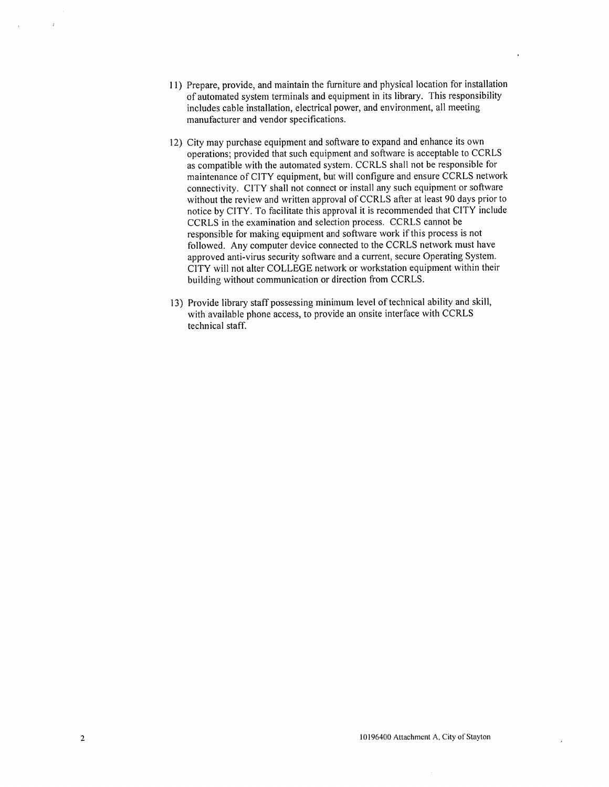- 11) Prepare, provide, and maintain the furniture and physical location for installation of automated system terminals and equipment in its library. This responsibility includes cable installation, electrical power, and environment, all meeting manufacturer and vendor specifications.
- 12) City may purchase equipment and software to expand and enhance its own operations; provided that such equipment and software is acceptable to CCRLS as compatible with the automated system. CCRLS shall not be responsible for maintenance of CITY equipment, but will configure and ensure CCRLS network connectivity. CITY shall not connect or install any such equipment or software without the review and written approval of CCRLS after at least 90 days prior to notice by CITY. To facilitate this approval it is recommended that CITY include CCRLS in the examination and selection process. CCRLS cannot be responsible for making equipment and software work if this process is not followed. Any computer device connected to the CCRLS network must have approved anti-virus security software and a current, secure Operating System. CITY will not alter COLLEGE network or workstation equipment within their building without communication or direction from CCRLS.
- 13) Provide library staff possessing minimum level of technical ability and skill, with available phone access, to provide an onsite interface with CCRLS technical staff.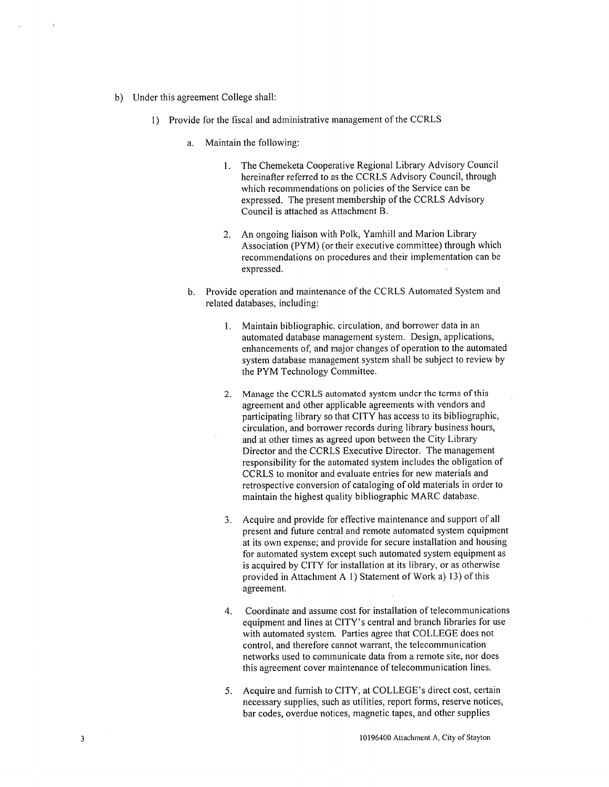- b) Under this agreement College shall:
	- 1) Provide for the fiscal and administrative management of the CCRLS
		- a. Maintain the following:
			- The Chemeketa Cooperative Regional Library Advisory Council  $1.$ hereinafter referred to as the CCRLS Advisory Council, through which recommendations on policies of the Service can be expressed. The present membership of the CCRLS Advisory Council is attached as Attachment B.
			- 2. An ongoing liaison with Polk, Yamhill and Marion Library Association (PYM) (or their executive committee) through which recommendations on procedures and their implementation can be expressed.
		- b. Provide operation and maintenance of the CCRLS Automated System and related databases, including:
			- 1. Maintain bibliographic, circulation, and borrower data in an automated database management system. Design, applications, enhancements of, and major changes of operation to the automated system database management system shall be subject to review by the PYM Technology Committee.
			- 2. Manage the CCRLS automated system under the terms of this agreement and other applicable agreements with vendors and participating library so that CITY has access to its bibliographic, circulation, and borrower records during library business hours, and at other times as agreed upon between the City Library Director and the CCRLS Executive Director. The management responsibility for the automated system includes the obligation of CCRLS to monitor and evaluate entries for new materials and retrospective conversion of cataloging of old materials in order to maintain the highest quality bibliographic MARC database.
			- 3. Acquire and provide for effective maintenance and support of all present and future central and remote automated system equipment at its own expense; and provide for secure installation and housing for automated system except such automated system equipment as is acquired by CITY for installation at its library, or as otherwise provided in Attachment A 1) Statement of Work a) 13) of this agreement.
			- Coordinate and assume cost for installation of telecommunications  $4.$ equipment and lines at CITY's central and branch libraries for use with automated system. Parties agree that COLLEGE does not control, and therefore cannot warrant, the telecommunication networks used to communicate data from a remote site, nor does this agreement cover maintenance of telecommunication lines.
			- 5. Acquire and furnish to CITY, at COLLEGE's direct cost, certain necessary supplies, such as utilities, report forms, reserve notices, bar codes, overdue notices, magnetic tapes, and other supplies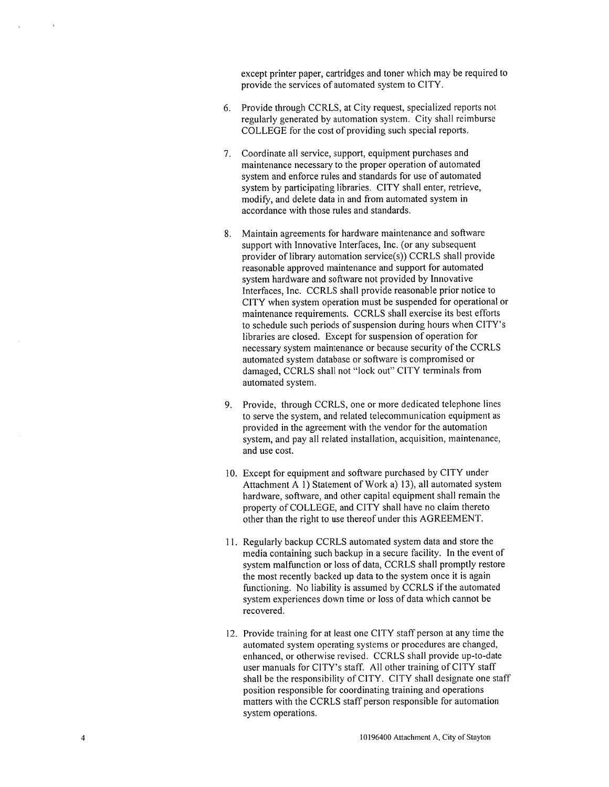except printer paper, cartridges and toner which may be required to provide the services of automated system to CITY.

- 6. Provide through CCRLS, at City request, specialized reports not regularly generated by automation system. City shall reimburse COLLEGE for the cost of providing such special reports.
- 7. Coordinate all service, support, equipment purchases and maintenance necessary to the proper operation of automated system and enforce rules and standards for use of automated system by participating libraries. CITY shall enter, retrieve, modify, and delete data in and from automated system in accordance with those rules and standards.
- Maintain agreements for hardware maintenance and software 8. support with Innovative Interfaces, Inc. (or any subsequent provider of library automation service(s)) CCRLS shall provide reasonable approved maintenance and support for automated system hardware and software not provided by Innovative Interfaces, Inc. CCRLS shall provide reasonable prior notice to CITY when system operation must be suspended for operational or maintenance requirements. CCRLS shall exercise its best efforts to schedule such periods of suspension during hours when CITY's libraries are closed. Except for suspension of operation for necessary system maintenance or because security of the CCRLS automated system database or software is compromised or damaged, CCRLS shall not "lock out" CITY terminals from automated system.
- 9. Provide, through CCRLS, one or more dedicated telephone lines to serve the system, and related telecommunication equipment as provided in the agreement with the vendor for the automation system, and pay all related installation, acquisition, maintenance, and use cost.
- 10. Except for equipment and software purchased by CITY under Attachment A 1) Statement of Work a) 13), all automated system hardware, software, and other capital equipment shall remain the property of COLLEGE, and CITY shall have no claim thereto other than the right to use thereof under this AGREEMENT.
- 11. Regularly backup CCRLS automated system data and store the media containing such backup in a secure facility. In the event of system malfunction or loss of data, CCRLS shall promptly restore the most recently backed up data to the system once it is again functioning. No liability is assumed by CCRLS if the automated system experiences down time or loss of data which cannot be recovered.
- 12. Provide training for at least one CITY staff person at any time the automated system operating systems or procedures are changed, enhanced, or otherwise revised. CCRLS shall provide up-to-date user manuals for CITY's staff. All other training of CITY staff shall be the responsibility of CITY. CITY shall designate one staff position responsible for coordinating training and operations matters with the CCRLS staff person responsible for automation system operations.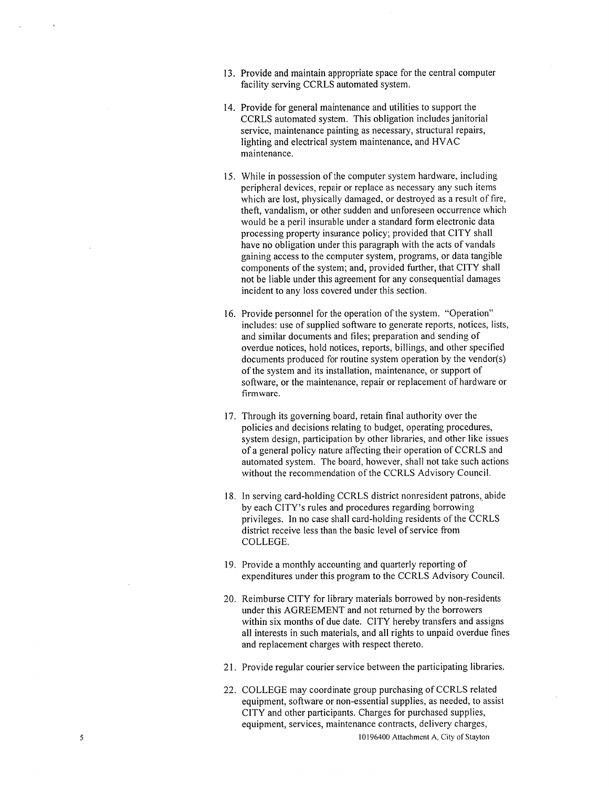- 13. Provide and maintain appropriate space for the central computer facility serving CCRLS automated system.
- 14. Provide for general maintenance and utilities to support the CCRLS automated system. This obligation includes janitorial service, maintenance painting as necessary, structural repairs, lighting and electrical system maintenance, and HVAC maintenance.
- 15. While in possession of the computer system hardware, including peripheral devices, repair or replace as necessary any such items which are lost, physically damaged, or destroyed as a result of fire, theft, vandalism, or other sudden and unforeseen occurrence which would be a peril insurable under a standard form electronic data processing property insurance policy; provided that CITY shall have no obligation under this paragraph with the acts of vandals gaining access to the computer system, programs, or data tangible components of the system; and, provided further, that CITY shall not be liable under this agreement for any consequential damages incident to any loss covered under this section.
- 16. Provide personnel for the operation of the system. "Operation" includes: use of supplied software to generate reports, notices, lists, and similar documents and files; preparation and sending of overdue notices, hold notices, reports, billings, and other specified documents produced for routine system operation by the vendor(s) of the system and its installation, maintenance, or support of software, or the maintenance, repair or replacement of hardware or firmware.
- 17. Through its governing board, retain final authority over the policies and decisions relating to budget, operating procedures, system design, participation by other libraries, and other like issues of a general policy nature affecting their operation of CCRLS and automated system. The board, however, shall not take such actions without the recommendation of the CCRLS Advisory Council.
- 18. In serving card-holding CCRLS district nonresident patrons, abide by each CITY's rules and procedures regarding borrowing privileges. In no case shall card-holding residents of the CCRLS district receive less than the basic level of service from COLLEGE.
- 19. Provide a monthly accounting and quarterly reporting of expenditures under this program to the CCRLS Advisory Council.
- 20. Reimburse CITY for library materials borrowed by non-residents under this AGREEMENT and not returned by the borrowers within six months of due date. CITY hereby transfers and assigns all interests in such materials, and all rights to unpaid overdue fines and replacement charges with respect thereto.
- 21. Provide regular courier service between the participating libraries.
- 22. COLLEGE may coordinate group purchasing of CCRLS related equipment, software or non-essential supplies, as needed, to assist CITY and other participants. Charges for purchased supplies, equipment, services, maintenance contracts, delivery charges,

10196400 Attachment A, City of Stayton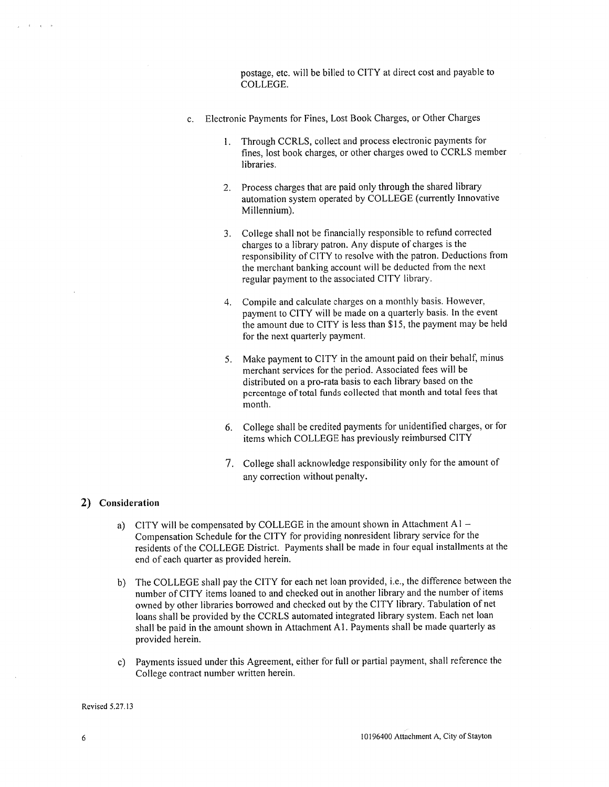postage, etc. will be billed to CITY at direct cost and payable to COLLEGE.

- c. Electronic Payments for Fines, Lost Book Charges, or Other Charges
	- 1. Through CCRLS, collect and process electronic payments for fines, lost book charges, or other charges owed to CCRLS member libraries.
	- Process charges that are paid only through the shared library  $2.$ automation system operated by COLLEGE (currently Innovative Millennium).
	- 3. College shall not be financially responsible to refund corrected charges to a library patron. Any dispute of charges is the responsibility of CITY to resolve with the patron. Deductions from the merchant banking account will be deducted from the next regular payment to the associated CITY library.
	- 4. Compile and calculate charges on a monthly basis. However, payment to CITY will be made on a quarterly basis. In the event the amount due to CITY is less than \$15, the payment may be held for the next quarterly payment.
	- 5. Make payment to CITY in the amount paid on their behalf, minus merchant services for the period. Associated fees will be distributed on a pro-rata basis to each library based on the percentage of total funds collected that month and total fees that month.
	- 6. College shall be credited payments for unidentified charges, or for items which COLLEGE has previously reimbursed CITY
	- 7. College shall acknowledge responsibility only for the amount of any correction without penalty.

### 2) Consideration

- a) CITY will be compensated by COLLEGE in the amount shown in Attachment  $A1 -$ Compensation Schedule for the CITY for providing nonresident library service for the residents of the COLLEGE District. Payments shall be made in four equal installments at the end of each quarter as provided herein.
- b) The COLLEGE shall pay the CITY for each net loan provided, i.e., the difference between the number of CITY items loaned to and checked out in another library and the number of items owned by other libraries borrowed and checked out by the CITY library. Tabulation of net loans shall be provided by the CCRLS automated integrated library system. Each net loan shall be paid in the amount shown in Attachment A1. Payments shall be made quarterly as provided herein.
- c) Payments issued under this Agreement, either for full or partial payment, shall reference the College contract number written herein.

Revised 5.27.13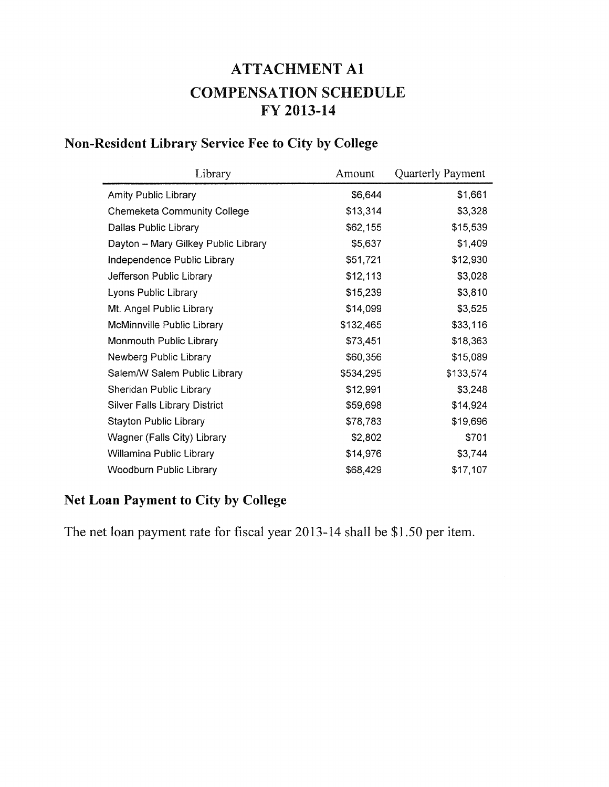# **ATTACHMENT A1 COMPENSATION SCHEDULE** FY 2013-14

# Non-Resident Library Service Fee to City by College

| Library                              | Amount    | Quarterly Payment |
|--------------------------------------|-----------|-------------------|
| <b>Amity Public Library</b>          | \$6,644   | \$1,661           |
| <b>Chemeketa Community College</b>   | \$13,314  | \$3,328           |
| Dallas Public Library                | \$62,155  | \$15,539          |
| Dayton - Mary Gilkey Public Library  | \$5,637   | \$1,409           |
| Independence Public Library          | \$51,721  | \$12,930          |
| Jefferson Public Library             | \$12,113  | \$3,028           |
| Lyons Public Library                 | \$15,239  | \$3,810           |
| Mt. Angel Public Library             | \$14,099  | \$3,525           |
| McMinnville Public Library           | \$132,465 | \$33,116          |
| Monmouth Public Library              | \$73,451  | \$18,363          |
| Newberg Public Library               | \$60,356  | \$15,089          |
| Salem/W Salem Public Library         | \$534,295 | \$133,574         |
| Sheridan Public Library              | \$12,991  | \$3,248           |
| <b>Silver Falls Library District</b> | \$59,698  | \$14,924          |
| <b>Stayton Public Library</b>        | \$78,783  | \$19,696          |
| Wagner (Falls City) Library          | \$2,802   | \$701             |
| Willamina Public Library             | \$14,976  | \$3,744           |
| <b>Woodburn Public Library</b>       | \$68,429  | \$17,107          |

# Net Loan Payment to City by College

The net loan payment rate for fiscal year 2013-14 shall be \$1.50 per item.